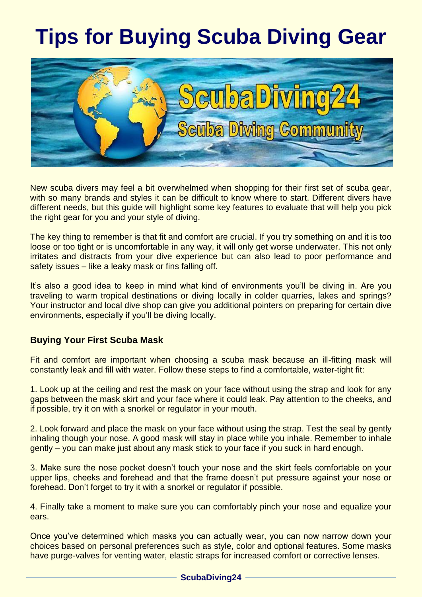# **Tips for Buying Scuba Diving Gear**



New scuba divers may feel a bit overwhelmed when shopping for their first set of scuba gear, with so many brands and styles it can be difficult to know where to start. Different divers have different needs, but this guide will highlight some key features to evaluate that will help you pick the right gear for you and your style of diving.

The key thing to remember is that fit and comfort are crucial. If you try something on and it is too loose or too tight or is uncomfortable in any way, it will only get worse underwater. This not only irritates and distracts from your dive experience but can also lead to poor performance and safety issues – like a leaky mask or fins falling off.

It's also a good idea to keep in mind what kind of environments you'll be diving in. Are you traveling to warm tropical destinations or diving locally in colder quarries, lakes and springs? Your instructor and local dive shop can give you additional pointers on preparing for certain dive environments, especially if you'll be diving locally.

#### **Buying Your First Scuba Mask**

Fit and comfort are important when choosing a scuba mask because an ill-fitting mask will constantly leak and fill with water. Follow these steps to find a comfortable, water-tight fit:

1. Look up at the ceiling and rest the mask on your face without using the strap and look for any gaps between the mask skirt and your face where it could leak. Pay attention to the cheeks, and if possible, try it on with a snorkel or regulator in your mouth.

2. Look forward and place the mask on your face without using the strap. Test the seal by gently inhaling though your nose. A good mask will stay in place while you inhale. Remember to inhale gently – you can make just about any mask stick to your face if you suck in hard enough.

3. Make sure the nose pocket doesn't touch your nose and the skirt feels comfortable on your upper lips, cheeks and forehead and that the frame doesn't put pressure against your nose or forehead. Don't forget to try it with a snorkel or regulator if possible.

4. Finally take a moment to make sure you can comfortably pinch your nose and equalize your ears.

Once you've determined which masks you can actually wear, you can now narrow down your choices based on personal preferences such as style, color and optional features. Some masks have purge-valves for venting water, elastic straps for increased comfort or corrective lenses.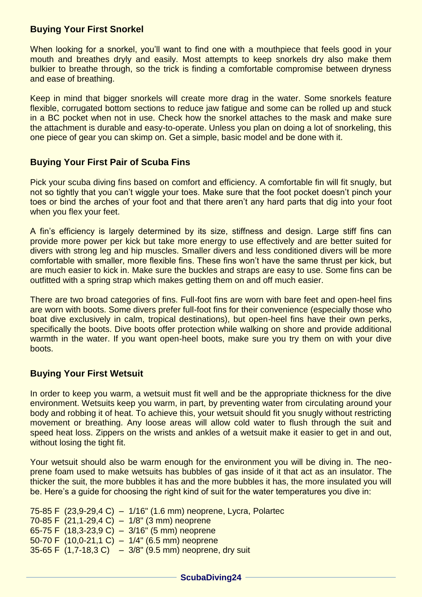### **Buying Your First Snorkel**

When looking for a snorkel, you'll want to find one with a mouthpiece that feels good in your mouth and breathes dryly and easily. Most attempts to keep snorkels dry also make them bulkier to breathe through, so the trick is finding a comfortable compromise between dryness and ease of breathing.

Keep in mind that bigger snorkels will create more drag in the water. Some snorkels feature flexible, corrugated bottom sections to reduce jaw fatigue and some can be rolled up and stuck in a BC pocket when not in use. Check how the snorkel attaches to the mask and make sure the attachment is durable and easy-to-operate. Unless you plan on doing a lot of snorkeling, this one piece of gear you can skimp on. Get a simple, basic model and be done with it.

# **Buying Your First Pair of Scuba Fins**

Pick your scuba diving fins based on comfort and efficiency. A comfortable fin will fit snugly, but not so tightly that you can't wiggle your toes. Make sure that the foot pocket doesn't pinch your toes or bind the arches of your foot and that there aren't any hard parts that dig into your foot when you flex your feet.

A fin's efficiency is largely determined by its size, stiffness and design. Large stiff fins can provide more power per kick but take more energy to use effectively and are better suited for divers with strong leg and hip muscles. Smaller divers and less conditioned divers will be more comfortable with smaller, more flexible fins. These fins won't have the same thrust per kick, but are much easier to kick in. Make sure the buckles and straps are easy to use. Some fins can be outfitted with a spring strap which makes getting them on and off much easier.

There are two broad categories of fins. Full-foot fins are worn with bare feet and open-heel fins are worn with boots. Some divers prefer full-foot fins for their convenience (especially those who boat dive exclusively in calm, tropical destinations), but open-heel fins have their own perks, specifically the boots. Dive boots offer protection while walking on shore and provide additional warmth in the water. If you want open-heel boots, make sure you try them on with your dive boots.

# **Buying Your First Wetsuit**

In order to keep you warm, a wetsuit must fit well and be the appropriate thickness for the dive environment. Wetsuits keep you warm, in part, by preventing water from circulating around your body and robbing it of heat. To achieve this, your wetsuit should fit you snugly without restricting movement or breathing. Any loose areas will allow cold water to flush through the suit and speed heat loss. Zippers on the wrists and ankles of a wetsuit make it easier to get in and out, without losing the tight fit.

Your wetsuit should also be warm enough for the environment you will be diving in. The neoprene foam used to make wetsuits has bubbles of gas inside of it that act as an insulator. The thicker the suit, the more bubbles it has and the more bubbles it has, the more insulated you will be. Here's a guide for choosing the right kind of suit for the water temperatures you dive in:

75-85 F (23,9-29,4 C) – 1/16" (1.6 mm) neoprene, Lycra, Polartec 70-85 F (21,1-29,4 C) – 1/8" (3 mm) neoprene 65-75 F (18,3-23,9 C) – 3/16" (5 mm) neoprene 50-70 F (10,0-21,1 C) – 1/4" (6.5 mm) neoprene 35-65 F  $(1,7-18,3 \text{ C})$  – 3/8"  $(9.5 \text{ mm})$  neoprene, dry suit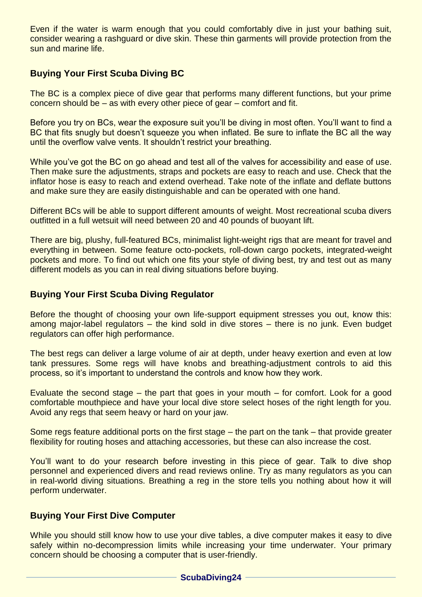Even if the water is warm enough that you could comfortably dive in just your bathing suit, consider wearing a rashguard or dive skin. These thin garments will provide protection from the sun and marine life.

# **Buying Your First Scuba Diving BC**

The BC is a complex piece of dive gear that performs many different functions, but your prime concern should be – as with every other piece of gear – comfort and fit.

Before you try on BCs, wear the exposure suit you'll be diving in most often. You'll want to find a BC that fits snugly but doesn't squeeze you when inflated. Be sure to inflate the BC all the way until the overflow valve vents. It shouldn't restrict your breathing.

While you've got the BC on go ahead and test all of the valves for accessibility and ease of use. Then make sure the adjustments, straps and pockets are easy to reach and use. Check that the inflator hose is easy to reach and extend overhead. Take note of the inflate and deflate buttons and make sure they are easily distinguishable and can be operated with one hand.

Different BCs will be able to support different amounts of weight. Most recreational scuba divers outfitted in a full wetsuit will need between 20 and 40 pounds of buoyant lift.

There are big, plushy, full-featured BCs, minimalist light-weight rigs that are meant for travel and everything in between. Some feature octo-pockets, roll-down cargo pockets, integrated-weight pockets and more. To find out which one fits your style of diving best, try and test out as many different models as you can in real diving situations before buying.

#### **Buying Your First Scuba Diving Regulator**

Before the thought of choosing your own life-support equipment stresses you out, know this: among major-label regulators – the kind sold in dive stores – there is no junk. Even budget regulators can offer high performance.

The best regs can deliver a large volume of air at depth, under heavy exertion and even at low tank pressures. Some regs will have knobs and breathing-adjustment controls to aid this process, so it's important to understand the controls and know how they work.

Evaluate the second stage – the part that goes in your mouth – for comfort. Look for a good comfortable mouthpiece and have your local dive store select hoses of the right length for you. Avoid any regs that seem heavy or hard on your jaw.

Some regs feature additional ports on the first stage – the part on the tank – that provide greater flexibility for routing hoses and attaching accessories, but these can also increase the cost.

You'll want to do your research before investing in this piece of gear. Talk to dive shop personnel and experienced divers and read reviews online. Try as many regulators as you can in real-world diving situations. Breathing a reg in the store tells you nothing about how it will perform underwater.

#### **Buying Your First Dive Computer**

While you should still know how to use your dive tables, a dive computer makes it easy to dive safely within no-decompression limits while increasing your time underwater. Your primary concern should be choosing a computer that is user-friendly.